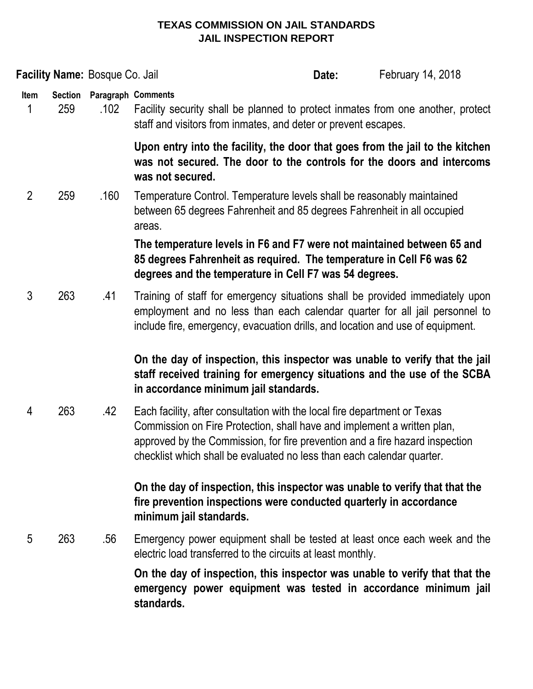### **TEXAS COMMISSION ON JAIL STANDARDS JAIL INSPECTION REPORT**

|                |                                                                                                                                                                            | Facility Name: Bosque Co. Jail |                                                                                                                                                                                                                                                                                                                | Date: | February 14, 2018 |
|----------------|----------------------------------------------------------------------------------------------------------------------------------------------------------------------------|--------------------------------|----------------------------------------------------------------------------------------------------------------------------------------------------------------------------------------------------------------------------------------------------------------------------------------------------------------|-------|-------------------|
| Item<br>1      | <b>Section</b><br>259                                                                                                                                                      | Paragraph Comments<br>.102     | Facility security shall be planned to protect inmates from one another, protect<br>staff and visitors from inmates, and deter or prevent escapes.                                                                                                                                                              |       |                   |
|                | Upon entry into the facility, the door that goes from the jail to the kitchen<br>was not secured. The door to the controls for the doors and intercoms<br>was not secured. |                                |                                                                                                                                                                                                                                                                                                                |       |                   |
| $\overline{2}$ | 259                                                                                                                                                                        | .160                           | Temperature Control. Temperature levels shall be reasonably maintained<br>between 65 degrees Fahrenheit and 85 degrees Fahrenheit in all occupied<br>areas.                                                                                                                                                    |       |                   |
|                |                                                                                                                                                                            |                                | The temperature levels in F6 and F7 were not maintained between 65 and<br>85 degrees Fahrenheit as required. The temperature in Cell F6 was 62<br>degrees and the temperature in Cell F7 was 54 degrees.                                                                                                       |       |                   |
| 3              | 263                                                                                                                                                                        | .41                            | Training of staff for emergency situations shall be provided immediately upon<br>employment and no less than each calendar quarter for all jail personnel to<br>include fire, emergency, evacuation drills, and location and use of equipment.                                                                 |       |                   |
|                |                                                                                                                                                                            |                                | On the day of inspection, this inspector was unable to verify that the jail<br>staff received training for emergency situations and the use of the SCBA<br>in accordance minimum jail standards.                                                                                                               |       |                   |
| 4              | 263                                                                                                                                                                        | .42                            | Each facility, after consultation with the local fire department or Texas<br>Commission on Fire Protection, shall have and implement a written plan,<br>approved by the Commission, for fire prevention and a fire hazard inspection<br>checklist which shall be evaluated no less than each calendar quarter. |       |                   |
|                |                                                                                                                                                                            |                                | On the day of inspection, this inspector was unable to verify that that the<br>fire prevention inspections were conducted quarterly in accordance<br>minimum jail standards.                                                                                                                                   |       |                   |
| 5              | 263                                                                                                                                                                        | .56                            | Emergency power equipment shall be tested at least once each week and the<br>electric load transferred to the circuits at least monthly.                                                                                                                                                                       |       |                   |
|                |                                                                                                                                                                            |                                | On the day of inspection, this inspector was unable to verify that that the<br>emergency power equipment was tested in accordance minimum jail<br>standards.                                                                                                                                                   |       |                   |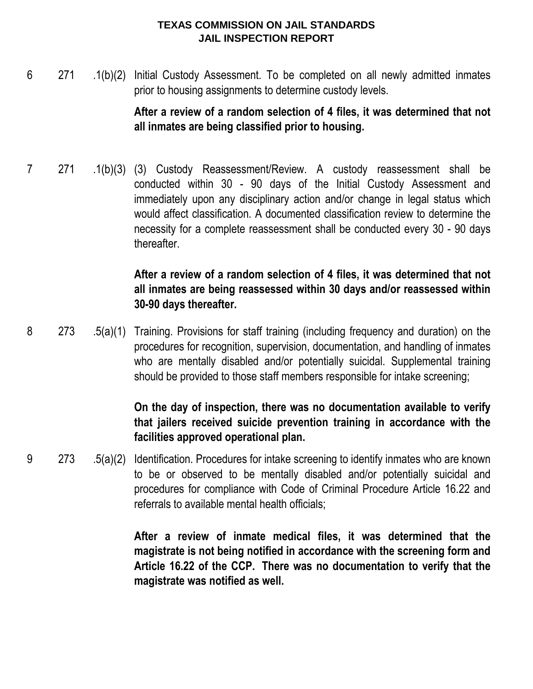#### **TEXAS COMMISSION ON JAIL STANDARDS JAIL INSPECTION REPORT**

6 271 .1(b)(2) Initial Custody Assessment. To be completed on all newly admitted inmates prior to housing assignments to determine custody levels.

# **After a review of a random selection of 4 files, it was determined that not all inmates are being classified prior to housing.**

7 271 .1(b)(3) (3) Custody Reassessment/Review. A custody reassessment shall be conducted within 30 - 90 days of the Initial Custody Assessment and immediately upon any disciplinary action and/or change in legal status which would affect classification. A documented classification review to determine the necessity for a complete reassessment shall be conducted every 30 - 90 days thereafter.

# **After a review of a random selection of 4 files, it was determined that not all inmates are being reassessed within 30 days and/or reassessed within 30-90 days thereafter.**

8 273 .5(a)(1) Training. Provisions for staff training (including frequency and duration) on the procedures for recognition, supervision, documentation, and handling of inmates who are mentally disabled and/or potentially suicidal. Supplemental training should be provided to those staff members responsible for intake screening;

# **On the day of inspection, there was no documentation available to verify that jailers received suicide prevention training in accordance with the facilities approved operational plan.**

9 273 .5(a)(2) Identification. Procedures for intake screening to identify inmates who are known to be or observed to be mentally disabled and/or potentially suicidal and procedures for compliance with Code of Criminal Procedure Article 16.22 and referrals to available mental health officials;

> **After a review of inmate medical files, it was determined that the magistrate is not being notified in accordance with the screening form and Article 16.22 of the CCP. There was no documentation to verify that the magistrate was notified as well.**